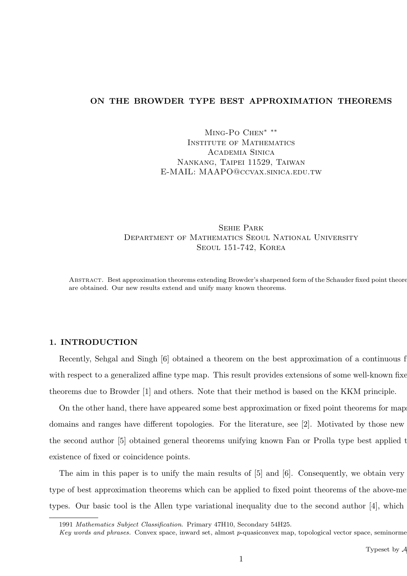# **ON THE BROWDER TYPE BEST APPROXIMATION THEOREMS**

Ming-Po Chen*∗ ∗∗* Institute of Mathematics Academia Sinica Nankang, Taipei 11529, Taiwan E-MAIL: MAAPO@ccvax.sinica.edu.tw

Sehie Park Department of Mathematics Seoul National University Seoul 151-742, Korea

ABSTRACT. Best approximation theorems extending Browder's sharpened form of the Schauder fixed point theorem are obtained. Our new results extend and unify many known theorems.

## **1. INTRODUCTION**

Recently, Sehgal and Singh  $[6]$  obtained a theorem on the best approximation of a continuous f with respect to a generalized affine type map. This result provides extensions of some well-known fixed theorems due to Browder [1] and others. Note that their method is based on the KKM principle.

On the other hand, there have appeared some best approximation or fixed point theorems for map domains and ranges have different topologies. For the literature, see [2]. Motivated by those new the second author [5] obtained general theorems unifying known Fan or Prolla type best applied them existence of fixed or coincidence points.

The aim in this paper is to unify the main results of  $[5]$  and  $[6]$ . Consequently, we obtain very type of best approximation theorems which can be applied to fixed point theorems of the above-ment types. Our basic tool is the Allen type variational inequality due to the second author  $[4]$ , which

<sup>1991</sup> *Mathematics Subject Classification*. Primary 47H10, Secondary 54H25.

*Key words and phrases.* Convex space, inward set, almost *p*-quasiconvex map, topological vector space, seminorme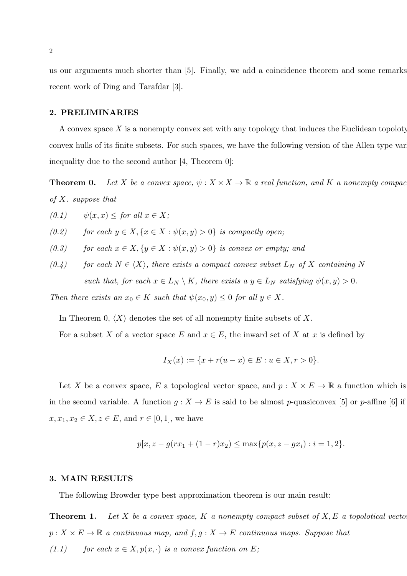us our arguments much shorter than [5]. Finally, we add a coincidence theorem and some remarks recent work of Ding and Tarafdar [3].

### **2. PRELIMINARIES**

A convex space  $X$  is a nonempty convex set with any topology that induces the Euclidean topoloty convex hulls of its finite subsets. For such spaces, we have the following version of the Allen type variation inequality due to the second author [4, Theorem 0]:

**Theorem 0.** Let *X* be a convex space,  $\psi: X \times X \to \mathbb{R}$  a real function, and *K* a nonempty compacturate. *of X. suppose that*

$$
(0.1) \qquad \psi(x, x) \leq \text{for all } x \in X;
$$

(0.2) for each 
$$
y \in X
$$
,  $\{x \in X : \psi(x, y) > 0\}$  is compactly open;

- $(0.3)$  *for each*  $x \in X$ ,  $\{y \in X : \psi(x, y) > 0\}$  *is convex or empty; and*
- *(0.4)* for each  $N \in \langle X \rangle$ , there exists a compact convex subset  $L_N$  of X containing N *such that, for each*  $x \in L_N \setminus K$ *, there exists a*  $y \in L_N$  *satisfying*  $\psi(x, y) > 0$ *.*

*Then there exists an*  $x_0 \in K$  *such that*  $\psi(x_0, y) \leq 0$  *for all*  $y \in X$ *.* 

In Theorem 0,  $\langle X \rangle$  denotes the set of all nonempty finite subsets of X.

For a subset *X* of a vector space *E* and  $x \in E$ , the inward set of *X* at *x* is defined by

$$
I_X(x) := \{ x + r(u - x) \in E : u \in X, r > 0 \}.
$$

Let *X* be a convex space, *E* a topological vector space, and  $p: X \times E \to \mathbb{R}$  a function which is in the second variable. A function  $g: X \to E$  is said to be almost *p*-quasiconvex [5] or *p*-affine [6] if *x*, *x*<sub>1</sub>, *x*<sub>2</sub>  $\in$  *X*, *z*  $\in$  *E*, and *r*  $\in$  [0, 1], we have

$$
p[x, z - g(rx_1 + (1 - r)x_2) \le \max\{p(x, z - gx_i) : i = 1, 2\}.
$$

## **3. MAIN RESULTS**

The following Browder type best approximation theorem is our main result:

**Theorem 1.** Let  $X$  be a convex space,  $K$  a nonempty compact subset of  $X, E$  a topolotical vector  $p: X \times E \to \mathbb{R}$  *a continuous map, and*  $f, g: X \to E$  *continuous maps. Suppose that (1.1) for each*  $x \in X, p(x, \cdot)$  *is a convex function on*  $E$ ;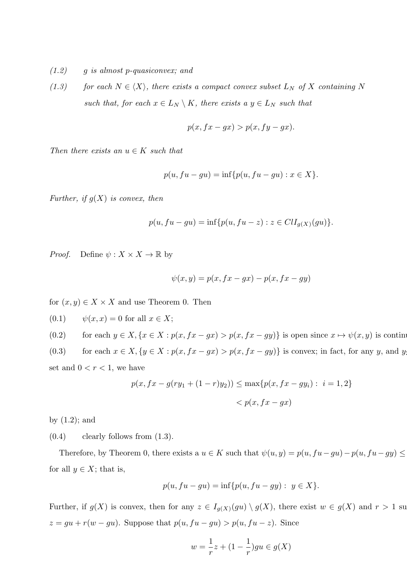- *(1.2) g is almost p-quasiconvex; and*
- *(1.3) for each*  $N \in \langle X \rangle$ *, there exists a compact convex subset*  $L_N$  *of*  $X$  *containing*  $N$ *such that, for each*  $x \in L_N \setminus K$ *, there exists a*  $y \in L_N$  *such that*

$$
p(x, fx - gx) > p(x, fy - gx).
$$

*Then there exists an*  $u \in K$  *such that* 

$$
p(u, fu-gu) = \inf\{p(u, fu-gu) : x \in X\}.
$$

*Further, if g*(*X*) *is convex, then*

$$
p(u, fu - gu) = \inf \{ p(u, fu - z) : z \in ClI_{g(X)}(gu) \}.
$$

*Proof.* Define  $\psi: X \times X \to \mathbb{R}$  by

$$
\psi(x,y) = p(x, fx - gx) - p(x, fx - gy)
$$

for  $(x, y) \in X \times X$  and use Theorem 0. Then

$$
(0.1) \qquad \psi(x, x) = 0 \text{ for all } x \in X;
$$

(0.2) for each  $y \in X$ ,  $\{x \in X : p(x, fx - gx) > p(x, fx - gy)\}\$ is open since  $x \mapsto \psi(x, y)$  is continuous

(0.3) for each  $x \in X$ ,  $\{y \in X : p(x, fx - gx) > p(x, fx - gy)\}\$ is convex; in fact, for any y, and y set and  $0 < r < 1$ , we have

$$
p(x, fx - g(ry_1 + (1 - r)y_2)) \le \max\{p(x, fx - gy_i) : i = 1, 2\}
$$
  

$$
< p(x, fx - gx)
$$

by  $(1.2)$ ; and

 $(0.4)$  clearly follows from  $(1.3)$ .

Therefore, by Theorem 0, there exists a  $u \in K$  such that  $\psi(u, y) = p(u, fu - gu) - p(u, fu - gy) \leq$ for all  $y \in X$ ; that is,

$$
p(u, fu - gu) = \inf \{ p(u, fu - gy) : y \in X \}.
$$

Further, if  $g(X)$  is convex, then for any  $z \in I_{g(X)}(gu) \setminus g(X)$ , there exist  $w \in g(X)$  and  $r > 1$  su  $z = gu + r(w - gu)$ . Suppose that  $p(u, fu - gu) > p(u, fu - z)$ . Since

$$
w = \frac{1}{r}z + (1 - \frac{1}{r})gu \in g(X)
$$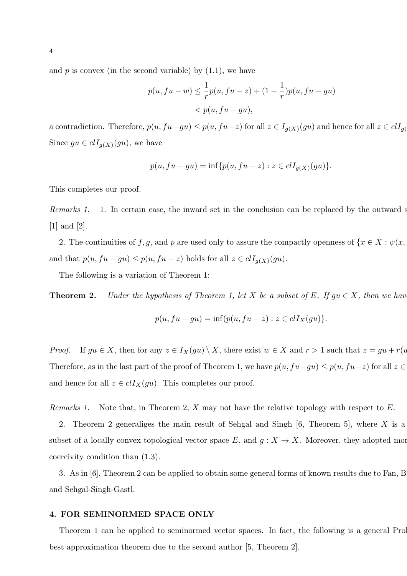and  $p$  is convex (in the second variable) by  $(1.1)$ , we have

$$
p(u, fu - w) \le \frac{1}{r}p(u, fu - z) + (1 - \frac{1}{r})p(u, fu - gu)
$$
  
< 
$$
< p(u, fu - gu),
$$

a contradiction. Therefore,  $p(u, fu-gu) \leq p(u, fu-z)$  for all  $z \in I_{g(X)}(gu)$  and hence for all  $z \in clI_{g(Y)}$ Since  $gu \in clI_{g(X)}(gu)$ , we have

$$
p(u, fu - gu) = \inf \{ p(u, fu - z) : z \in clI_{g(X)}(gu) \}.
$$

This completes our proof.

*Remarks 1.* 1. In certain case, the inward set in the conclusion can be replaced by the outward set. [1] and [2].

2. The continuities of  $f, g$ , and  $p$  are used only to assure the compactly openness of  $\{x \in X : \psi(x, y) \leq y \}$ and that  $p(u, fu-gu) \leq p(u, fu-z)$  holds for all  $z \in clI_{g(X)}(gu)$ .

The following is a variation of Theorem 1:

**Theorem 2.** *Under the hypothesis of Theorem 1, let*  $X$  *be a subset of*  $E$ *. If*  $gu \in X$ *, then we have* 

$$
p(u, fu-gu) = \inf\{p(u, fu-z) : z \in clI_X(gu)\}.
$$

*Proof.* If  $gu \in X$ , then for any  $z \in I_X(gu) \setminus X$ , there exist  $w \in X$  and  $r > 1$  such that  $z = gu + r(u)$ Therefore, as in the last part of the proof of Theorem 1, we have  $p(u, fu-gu) \leq p(u, fu-z)$  for all  $z \in$ and hence for all  $z \in \text{cl}I_X(gu)$ . This completes our proof.

*Remarks 1.* Note that, in Theorem 2, *X* may not have the relative topology with respect to *E*.

2. Theorem 2 generaliges the main result of Sehgal and Singh  $[6,$  Theorem 5, where  $X$  is a subset of a locally convex topological vector space  $E$ , and  $g: X \to X$ . Moreover, they adopted more coercivity condition than (1.3).

3. As in  $|6|$ , Theorem 2 can be applied to obtain some general forms of known results due to Fan, B and Sehgal-Singh-Gastl.

## **4. FOR SEMINORMED SPACE ONLY**

Theorem 1 can be applied to seminormed vector spaces. In fact, the following is a general Prol best approximation theorem due to the second author [5, Theorem 2].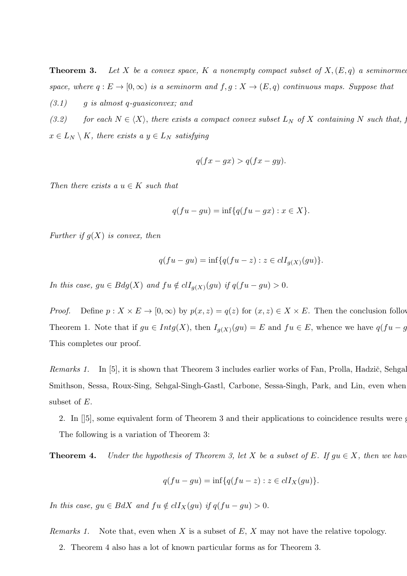**Theorem 3.** Let *X* be a convex space, *K* a nonempty compact subset of  $X$ ,  $(E, q)$  a seminormed *space, where*  $q: E \to [0, \infty)$  *is a seminorm and*  $f, g: X \to (E, q)$  *continuous maps. Suppose that* 

*(3.1) g is almost q-guasiconvex; and*

*(3.2)* for each  $N \in \langle X \rangle$ , there exists a compact convex subset  $L_N$  of X containing N such that, for  $\langle X \rangle$  $x \in L_N \setminus K$ *, there exists a*  $y \in L_N$  *satisfying* 

$$
q(fx - gx) > q(fx - gy).
$$

*Then there exists a*  $u \in K$  *such that* 

$$
q(fu-gu) = \inf\{q(fu-gx) : x \in X\}.
$$

*Further if g*(*X*) *is convex, then*

$$
q(fu - gu) = \inf \{ q(fu - z) : z \in clI_{g(X)}(gu) \}.
$$

*In this case,*  $gu \in Bdg(X)$  *and*  $fu \notin clI_{g(X)}(gu)$  *if*  $q(fu-gu) > 0$ .

*Proof.* Define  $p: X \times E \to [0, \infty)$  by  $p(x, z) = q(z)$  for  $(x, z) \in X \times E$ . Then the conclusion follows Theorem 1. Note that if  $gu \in Intg(X)$ , then  $I_{g(X)}(gu) = E$  and  $fu \in E$ , whence we have  $q(fu - g)$ . This completes our proof.

*Remarks 1.* In [5], it is shown that Theorem 3 includes earlier works of Fan, Prolla, Hadzič, Sehgal-Smithson, Sessa, Roux-Sing, Sehgal-Singh-Gastl, Carbone, Sessa-Singh, Park, and Lin, even when subset of *E*.

2. In  $[5]$ , some equivalent form of Theorem 3 and their applications to coincidence results were g The following is a variation of Theorem 3:

**Theorem 4.** *Under the hypothesis of Theorem 3, let*  $X$  *be a subset of*  $E$ *. If*  $gu \in X$ *, then we have* 

$$
q(fu-gu)=\inf\{q(fu-z):z\in clI_X(gu)\}.
$$

*In this case,*  $gu \in BdX$  *and*  $fu \notin cI_X(gu)$  *if*  $q(fu-gu) > 0$ *.* 

*Remarks 1.* Note that, even when *X* is a subset of *E*, *X* may not have the relative topology.

2. Theorem 4 also has a lot of known particular forms as for Theorem 3.